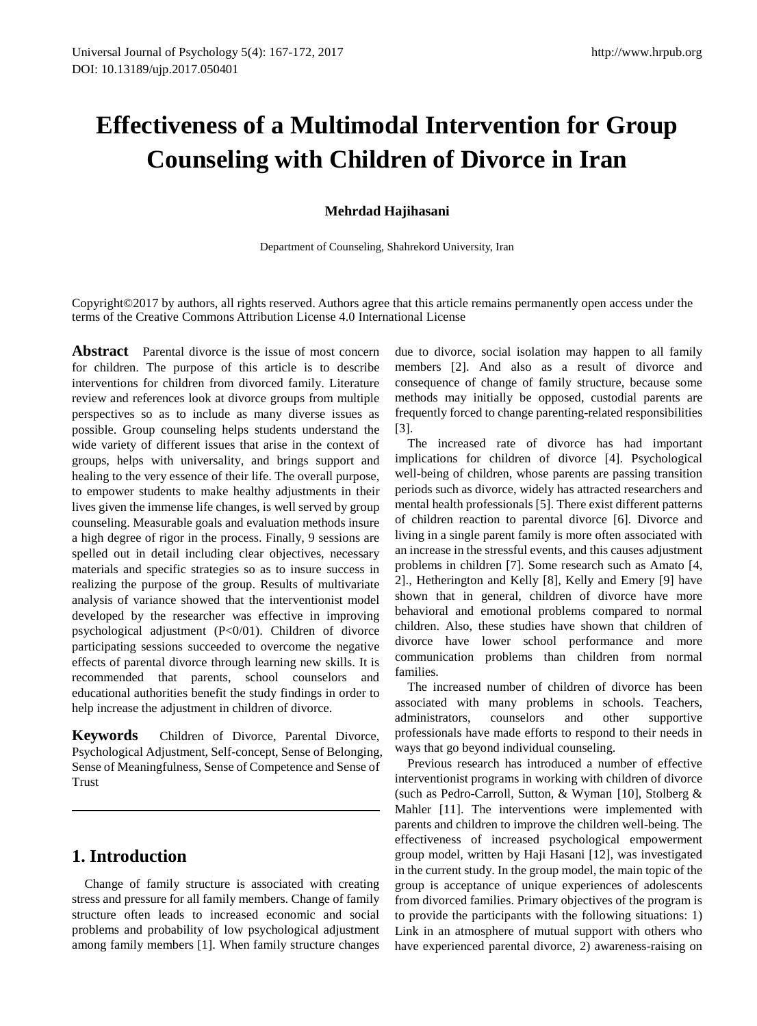# **Effectiveness of a Multimodal Intervention for Group Counseling with Children of Divorce in Iran**

### **Mehrdad Hajihasani**

Department of Counseling, Shahrekord University, Iran

Copyright©2017 by authors, all rights reserved. Authors agree that this article remains permanently open access under the terms of the Creative Commons Attribution License 4.0 International License

Abstract Parental divorce is the issue of most concern for children. The purpose of this article is to describe interventions for children from divorced family. Literature review and references look at divorce groups from multiple perspectives so as to include as many diverse issues as possible. Group counseling helps students understand the wide variety of different issues that arise in the context of groups, helps with universality, and brings support and healing to the very essence of their life. The overall purpose, to empower students to make healthy adjustments in their lives given the immense life changes, is well served by group counseling. Measurable goals and evaluation methods insure a high degree of rigor in the process. Finally, 9 sessions are spelled out in detail including clear objectives, necessary materials and specific strategies so as to insure success in realizing the purpose of the group. Results of multivariate analysis of variance showed that the interventionist model developed by the researcher was effective in improving psychological adjustment (P<0/01). Children of divorce participating sessions succeeded to overcome the negative effects of parental divorce through learning new skills. It is recommended that parents, school counselors and educational authorities benefit the study findings in order to help increase the adjustment in children of divorce.

**Keywords** Children of Divorce, Parental Divorce, Psychological Adjustment, Self-concept, Sense of Belonging, Sense of Meaningfulness, Sense of Competence and Sense of Trust

# **1. Introduction**

Change of family structure is associated with creating stress and pressure for all family members. Change of family structure often leads to increased economic and social problems and probability of low psychological adjustment among family members [1]. When family structure changes due to divorce, social isolation may happen to all family members [2]. And also as a result of divorce and consequence of change of family structure, because some methods may initially be opposed, custodial parents are frequently forced to change parenting-related responsibilities [3].

The increased rate of divorce has had important implications for children of divorce [4]. Psychological well-being of children, whose parents are passing transition periods such as divorce, widely has attracted researchers and mental health professionals [5]. There exist different patterns of children reaction to parental divorce [6]. Divorce and living in a single parent family is more often associated with an increase in the stressful events, and this causes adjustment problems in children [7]. Some research such as Amato [4, 2]., Hetherington and Kelly [8], Kelly and Emery [9] have shown that in general, children of divorce have more behavioral and emotional problems compared to normal children. Also, these studies have shown that children of divorce have lower school performance and more communication problems than children from normal families.

The increased number of children of divorce has been associated with many problems in schools. Teachers, administrators, counselors and other supportive professionals have made efforts to respond to their needs in ways that go beyond individual counseling.

Previous research has introduced a number of effective interventionist programs in working with children of divorce (such as Pedro-Carroll, Sutton, & Wyman [10], Stolberg & Mahler [11]. The interventions were implemented with parents and children to improve the children well-being. The effectiveness of increased psychological empowerment group model, written by Haji Hasani [12], was investigated in the current study. In the group model, the main topic of the group is acceptance of unique experiences of adolescents from divorced families. Primary objectives of the program is to provide the participants with the following situations: 1) Link in an atmosphere of mutual support with others who have experienced parental divorce, 2) awareness-raising on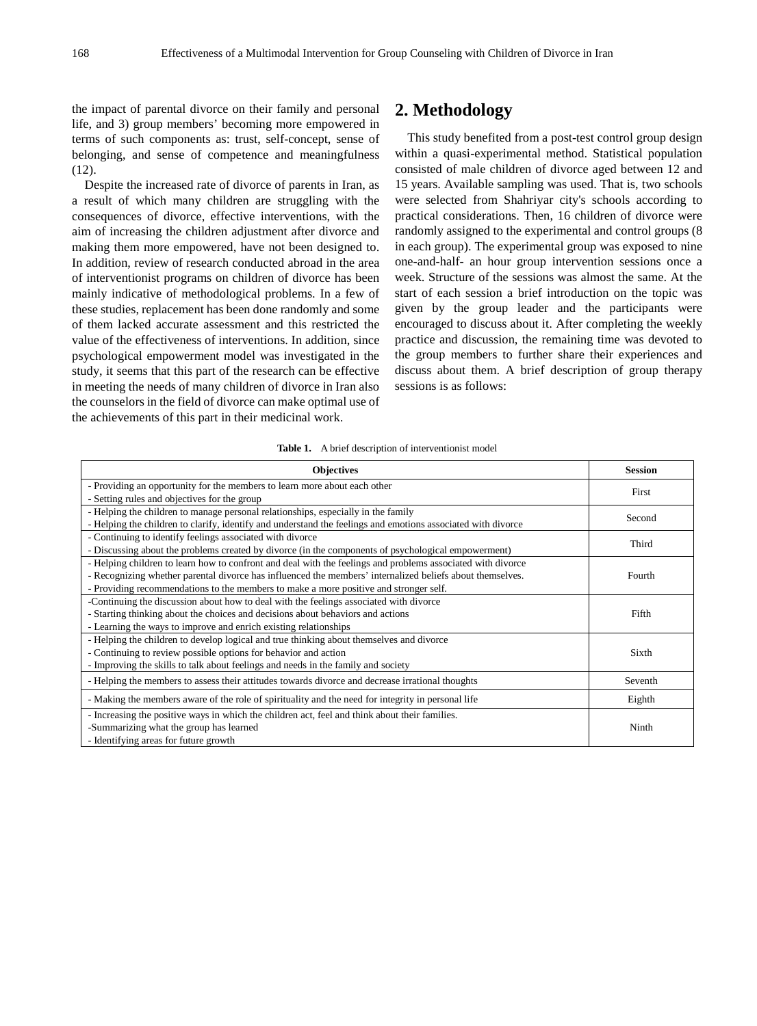the impact of parental divorce on their family and personal life, and 3) group members' becoming more empowered in terms of such components as: trust, self-concept, sense of belonging, and sense of competence and meaningfulness (12).

Despite the increased rate of divorce of parents in Iran, as a result of which many children are struggling with the consequences of divorce, effective interventions, with the aim of increasing the children adjustment after divorce and making them more empowered, have not been designed to. In addition, review of research conducted abroad in the area of interventionist programs on children of divorce has been mainly indicative of methodological problems. In a few of these studies, replacement has been done randomly and some of them lacked accurate assessment and this restricted the value of the effectiveness of interventions. In addition, since psychological empowerment model was investigated in the study, it seems that this part of the research can be effective in meeting the needs of many children of divorce in Iran also the counselors in the field of divorce can make optimal use of the achievements of this part in their medicinal work.

## **2. Methodology**

This study benefited from a post-test control group design within a quasi-experimental method. Statistical population consisted of male children of divorce aged between 12 and 15 years. Available sampling was used. That is, two schools were selected from Shahriyar city's schools according to practical considerations. Then, 16 children of divorce were randomly assigned to the experimental and control groups (8 in each group). The experimental group was exposed to nine one-and-half- an hour group intervention sessions once a week. Structure of the sessions was almost the same. At the start of each session a brief introduction on the topic was given by the group leader and the participants were encouraged to discuss about it. After completing the weekly practice and discussion, the remaining time was devoted to the group members to further share their experiences and discuss about them. A brief description of group therapy sessions is as follows:

#### Table 1. A brief description of interventionist model

| <b>Objectives</b>                                                                                            | <b>Session</b> |
|--------------------------------------------------------------------------------------------------------------|----------------|
| - Providing an opportunity for the members to learn more about each other                                    | First          |
| - Setting rules and objectives for the group                                                                 |                |
| - Helping the children to manage personal relationships, especially in the family                            | Second         |
| - Helping the children to clarify, identify and understand the feelings and emotions associated with divorce |                |
| - Continuing to identify feelings associated with divorce                                                    | Third          |
| - Discussing about the problems created by divorce (in the components of psychological empowerment)          |                |
| - Helping children to learn how to confront and deal with the feelings and problems associated with divorce  |                |
| - Recognizing whether parental divorce has influenced the members' internalized beliefs about themselves.    | Fourth         |
| - Providing recommendations to the members to make a more positive and stronger self.                        |                |
| -Continuing the discussion about how to deal with the feelings associated with divorce                       |                |
| - Starting thinking about the choices and decisions about behaviors and actions                              | Fifth          |
| - Learning the ways to improve and enrich existing relationships                                             |                |
| - Helping the children to develop logical and true thinking about themselves and divorce                     |                |
| - Continuing to review possible options for behavior and action                                              | Sixth          |
| - Improving the skills to talk about feelings and needs in the family and society                            |                |
| - Helping the members to assess their attitudes towards divorce and decrease irrational thoughts             | Seventh        |
| - Making the members aware of the role of spirituality and the need for integrity in personal life           | Eighth         |
| - Increasing the positive ways in which the children act, feel and think about their families.               |                |
| -Summarizing what the group has learned                                                                      | Ninth          |
| - Identifying areas for future growth                                                                        |                |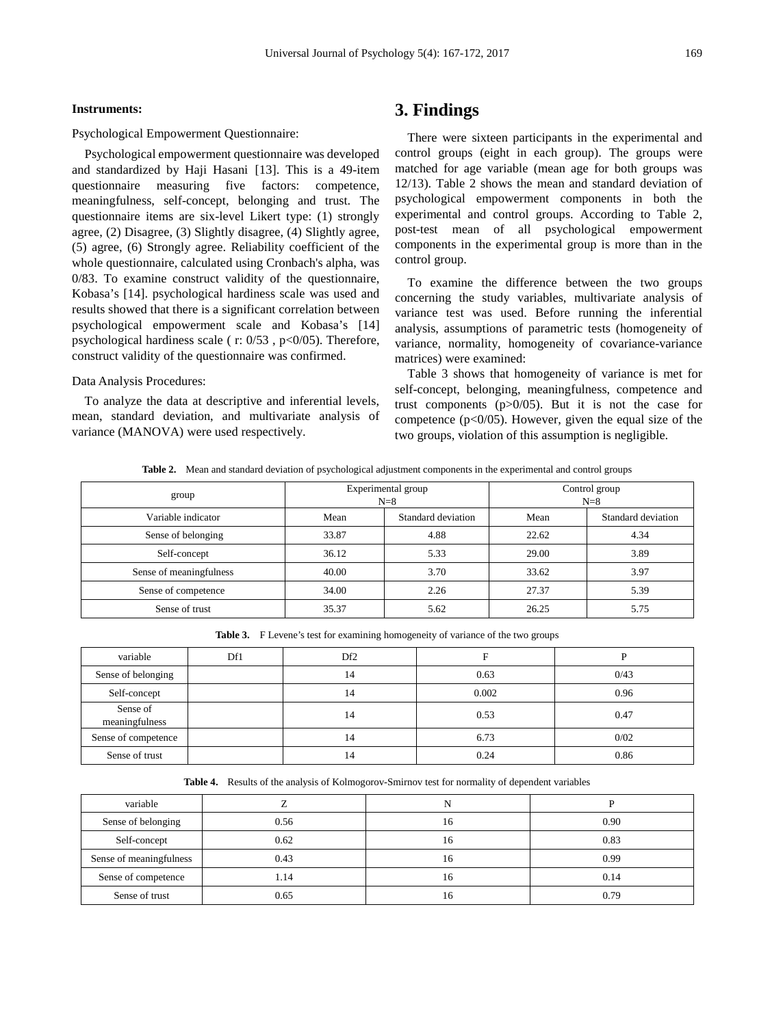#### **Instruments:**

Psychological Empowerment Questionnaire:

Psychological empowerment questionnaire was developed and standardized by Haji Hasani [13]. This is a 49-item questionnaire measuring five factors: competence, meaningfulness, self-concept, belonging and trust. The questionnaire items are six-level Likert type: (1) strongly agree, (2) Disagree, (3) Slightly disagree, (4) Slightly agree, (5) agree, (6) Strongly agree. Reliability coefficient of the whole questionnaire, calculated using Cronbach's alpha, was 0/83. To examine construct validity of the questionnaire, Kobasa's [14]. psychological hardiness scale was used and results showed that there is a significant correlation between psychological empowerment scale and Kobasa's [14] psychological hardiness scale ( $r: 0/53$ ,  $p<0/05$ ). Therefore, construct validity of the questionnaire was confirmed.

#### Data Analysis Procedures:

To analyze the data at descriptive and inferential levels, mean, standard deviation, and multivariate analysis of variance (MANOVA) were used respectively.

## **3. Findings**

There were sixteen participants in the experimental and control groups (eight in each group). The groups were matched for age variable (mean age for both groups was 12/13). Table 2 shows the mean and standard deviation of psychological empowerment components in both the experimental and control groups. According to Table 2, post-test mean of all psychological empowerment components in the experimental group is more than in the control group.

To examine the difference between the two groups concerning the study variables, multivariate analysis of variance test was used. Before running the inferential analysis, assumptions of parametric tests (homogeneity of variance, normality, homogeneity of covariance-variance matrices) were examined:

Table 3 shows that homogeneity of variance is met for self-concept, belonging, meaningfulness, competence and trust components  $(p>0/05)$ . But it is not the case for competence ( $p<0/05$ ). However, given the equal size of the two groups, violation of this assumption is negligible.

**Table 2.** Mean and standard deviation of psychological adjustment components in the experimental and control groups

| group                   | Experimental group<br>$N=8$ |                    | Control group<br>$N=8$ |                    |  |
|-------------------------|-----------------------------|--------------------|------------------------|--------------------|--|
| Variable indicator      | Mean                        | Standard deviation | Mean                   | Standard deviation |  |
| Sense of belonging      | 33.87                       | 4.88               | 22.62                  | 4.34               |  |
| Self-concept            | 36.12                       | 5.33               | 29.00                  | 3.89               |  |
| Sense of meaningfulness | 40.00                       | 3.70               | 33.62                  | 3.97               |  |
| Sense of competence     | 34.00                       | 2.26               | 27.37                  | 5.39               |  |
| Sense of trust          | 35.37                       | 5.62               | 26.25                  | 5.75               |  |

**Table 3.** F Levene's test for examining homogeneity of variance of the two groups

| variable                   | Df1 | Df <sub>2</sub> |       |      |
|----------------------------|-----|-----------------|-------|------|
| Sense of belonging         |     | 14              | 0.63  | 0/43 |
| Self-concept               |     | 14              | 0.002 | 0.96 |
| Sense of<br>meaningfulness |     | 14              | 0.53  | 0.47 |
| Sense of competence        |     | 14              | 6.73  | 0/02 |
| Sense of trust             |     | 14              | 0.24  | 0.86 |

**Table 4.** Results of the analysis of Kolmogorov-Smirnov test for normality of dependent variables

| variable                |      |    |      |
|-------------------------|------|----|------|
| Sense of belonging      | 0.56 | 16 | 0.90 |
| Self-concept            | 0.62 | 16 | 0.83 |
| Sense of meaningfulness | 0.43 | 16 | 0.99 |
| Sense of competence     | 1.14 | 16 | 0.14 |
| Sense of trust          | 0.65 | 16 | 0.79 |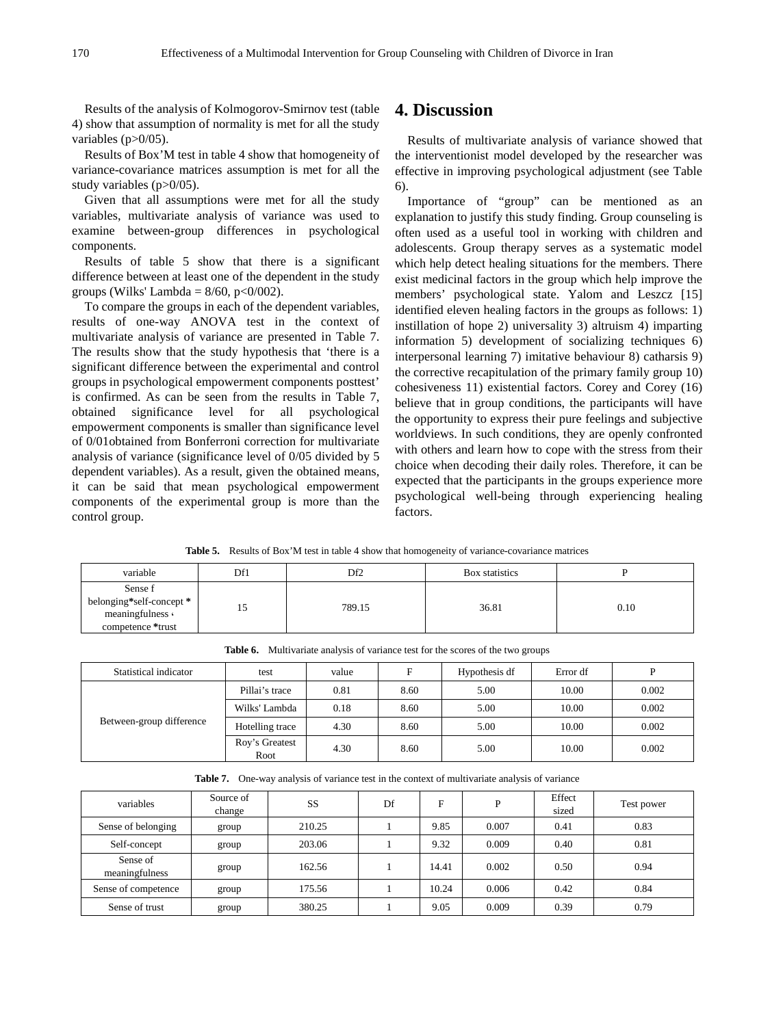Results of the analysis of Kolmogorov-Smirnov test (table 4) show that assumption of normality is met for all the study variables (p>0/05).

Results of Box'M test in table 4 show that homogeneity of variance-covariance matrices assumption is met for all the study variables (p>0/05).

Given that all assumptions were met for all the study variables, multivariate analysis of variance was used to examine between-group differences in psychological components.

Results of table 5 show that there is a significant difference between at least one of the dependent in the study groups (Wilks' Lambda =  $8/60$ , p< $0/002$ ).

To compare the groups in each of the dependent variables, results of one-way ANOVA test in the context of multivariate analysis of variance are presented in Table 7. The results show that the study hypothesis that 'there is a significant difference between the experimental and control groups in psychological empowerment components posttest' is confirmed. As can be seen from the results in Table 7, obtained significance level for all psychological empowerment components is smaller than significance level of 0/01obtained from Bonferroni correction for multivariate analysis of variance (significance level of 0/05 divided by 5 dependent variables). As a result, given the obtained means, it can be said that mean psychological empowerment components of the experimental group is more than the control group.

## **4. Discussion**

Results of multivariate analysis of variance showed that the interventionist model developed by the researcher was effective in improving psychological adjustment (see Table 6).

Importance of "group" can be mentioned as an explanation to justify this study finding. Group counseling is often used as a useful tool in working with children and adolescents. Group therapy serves as a systematic model which help detect healing situations for the members. There exist medicinal factors in the group which help improve the members' psychological state. Yalom and Leszcz [15] identified eleven healing factors in the groups as follows: 1) instillation of hope 2) universality 3) altruism 4) imparting information 5) development of socializing techniques 6) interpersonal learning 7) imitative behaviour 8) catharsis 9) the corrective recapitulation of the primary family group 10) cohesiveness 11) existential factors. Corey and Corey (16) believe that in group conditions, the participants will have the opportunity to express their pure feelings and subjective worldviews. In such conditions, they are openly confronted with others and learn how to cope with the stress from their choice when decoding their daily roles. Therefore, it can be expected that the participants in the groups experience more psychological well-being through experiencing healing factors.

**Table 5.** Results of Box'M test in table 4 show that homogeneity of variance-covariance matrices

| variable                                                                     | Df1 | Df <sub>2</sub> | Box statistics |      |
|------------------------------------------------------------------------------|-----|-----------------|----------------|------|
| Sense f<br>belonging*self-concept *<br>meaningfulness <<br>competence *trust |     | 789.15          | 36.81          | 0.10 |

| Statistical indicator    | test            | value | F    | Hypothesis df | Error df | D     |
|--------------------------|-----------------|-------|------|---------------|----------|-------|
| Between-group difference | Pillai's trace  | 0.81  | 8.60 | 5.00          | 10.00    | 0.002 |
|                          | Wilks' Lambda   | 0.18  | 8.60 | 5.00          | 10.00    | 0.002 |
|                          | Hotelling trace | 4.30  | 8.60 | 5.00          | 10.00    | 0.002 |
|                          | Roy's Greatest  | 4.30  | 8.60 | 5.00          | 10.00    | 0.002 |
|                          | Root            |       |      |               |          |       |

**Table 6.** Multivariate analysis of variance test for the scores of the two groups

| <b>Table 7.</b> One-way analysis of variance test in the context of multivariate analysis of variance |
|-------------------------------------------------------------------------------------------------------|
|-------------------------------------------------------------------------------------------------------|

| variables                  | Source of<br>change | SS     | Df | F     | D     | Effect<br>sized | Test power |
|----------------------------|---------------------|--------|----|-------|-------|-----------------|------------|
| Sense of belonging         | group               | 210.25 |    | 9.85  | 0.007 | 0.41            | 0.83       |
| Self-concept               | group               | 203.06 |    | 9.32  | 0.009 | 0.40            | 0.81       |
| Sense of<br>meaningfulness | group               | 162.56 |    | 14.41 | 0.002 | 0.50            | 0.94       |
| Sense of competence        | group               | 175.56 |    | 10.24 | 0.006 | 0.42            | 0.84       |
| Sense of trust             | group               | 380.25 |    | 9.05  | 0.009 | 0.39            | 0.79       |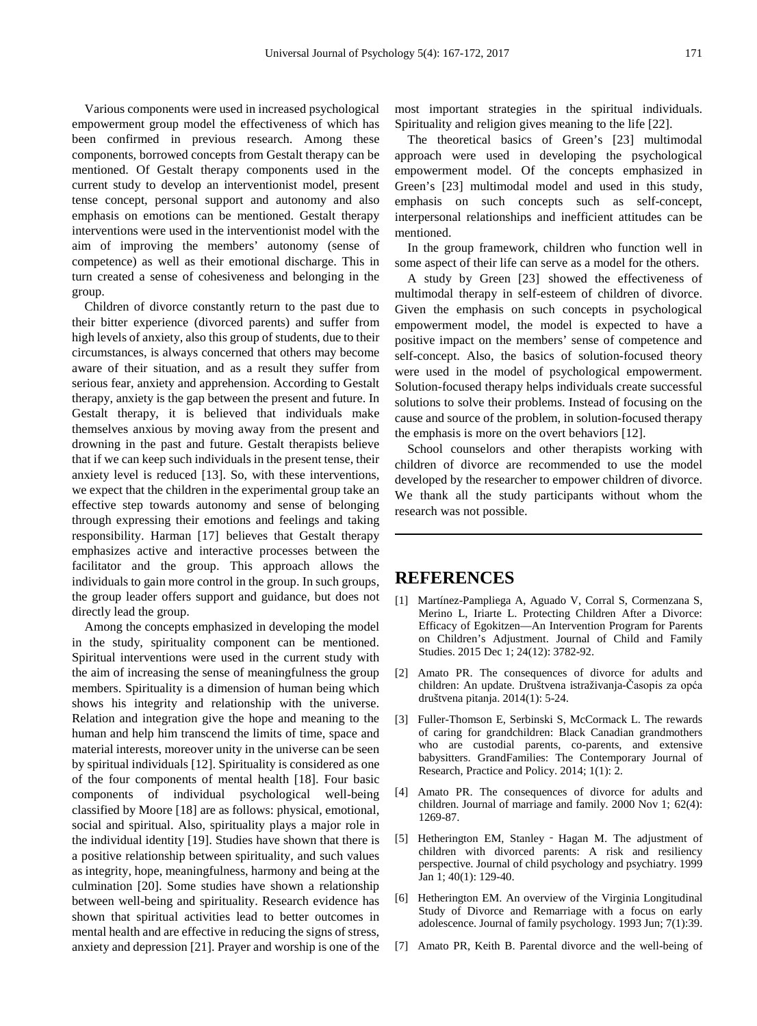Various components were used in increased psychological empowerment group model the effectiveness of which has been confirmed in previous research. Among these components, borrowed concepts from Gestalt therapy can be mentioned. Of Gestalt therapy components used in the current study to develop an interventionist model, present tense concept, personal support and autonomy and also emphasis on emotions can be mentioned. Gestalt therapy interventions were used in the interventionist model with the aim of improving the members' autonomy (sense of competence) as well as their emotional discharge. This in turn created a sense of cohesiveness and belonging in the group.

Children of divorce constantly return to the past due to their bitter experience (divorced parents) and suffer from high levels of anxiety, also this group of students, due to their circumstances, is always concerned that others may become aware of their situation, and as a result they suffer from serious fear, anxiety and apprehension. According to Gestalt therapy, anxiety is the gap between the present and future. In Gestalt therapy, it is believed that individuals make themselves anxious by moving away from the present and drowning in the past and future. Gestalt therapists believe that if we can keep such individuals in the present tense, their anxiety level is reduced [13]. So, with these interventions, we expect that the children in the experimental group take an effective step towards autonomy and sense of belonging through expressing their emotions and feelings and taking responsibility. Harman [17] believes that Gestalt therapy emphasizes active and interactive processes between the facilitator and the group. This approach allows the individuals to gain more control in the group. In such groups, the group leader offers support and guidance, but does not directly lead the group.

Among the concepts emphasized in developing the model in the study, spirituality component can be mentioned. Spiritual interventions were used in the current study with the aim of increasing the sense of meaningfulness the group members. Spirituality is a dimension of human being which shows his integrity and relationship with the universe. Relation and integration give the hope and meaning to the human and help him transcend the limits of time, space and material interests, moreover unity in the universe can be seen by spiritual individuals [12]. Spirituality is considered as one of the four components of mental health [18]. Four basic components of individual psychological well-being classified by Moore [18] are as follows: physical, emotional, social and spiritual. Also, spirituality plays a major role in the individual identity [19]. Studies have shown that there is a positive relationship between spirituality, and such values as integrity, hope, meaningfulness, harmony and being at the culmination [20]. Some studies have shown a relationship between well-being and spirituality. Research evidence has shown that spiritual activities lead to better outcomes in mental health and are effective in reducing the signs of stress, anxiety and depression [21]. Prayer and worship is one of the

most important strategies in the spiritual individuals. Spirituality and religion gives meaning to the life [22].

The theoretical basics of Green's [23] multimodal approach were used in developing the psychological empowerment model. Of the concepts emphasized in Green's [23] multimodal model and used in this study, emphasis on such concepts such as self-concept, interpersonal relationships and inefficient attitudes can be mentioned.

In the group framework, children who function well in some aspect of their life can serve as a model for the others.

A study by Green [23] showed the effectiveness of multimodal therapy in self-esteem of children of divorce. Given the emphasis on such concepts in psychological empowerment model, the model is expected to have a positive impact on the members' sense of competence and self-concept. Also, the basics of solution-focused theory were used in the model of psychological empowerment. Solution-focused therapy helps individuals create successful solutions to solve their problems. Instead of focusing on the cause and source of the problem, in solution-focused therapy the emphasis is more on the overt behaviors [12].

School counselors and other therapists working with children of divorce are recommended to use the model developed by the researcher to empower children of divorce. We thank all the study participants without whom the research was not possible.

## **REFERENCES**

- [1] Martínez-Pampliega A, Aguado V, Corral S, Cormenzana S, Merino L, Iriarte L. Protecting Children After a Divorce: Efficacy of Egokitzen—An Intervention Program for Parents on Children's Adjustment. Journal of Child and Family Studies. 2015 Dec 1; 24(12): 3782-92.
- [2] Amato PR. The consequences of divorce for adults and children: An update. Društvena istraživanja-Časopis za opća društvena pitanja. 2014(1): 5-24.
- [3] Fuller-Thomson E, Serbinski S, McCormack L. The rewards of caring for grandchildren: Black Canadian grandmothers who are custodial parents, co-parents, and extensive babysitters. GrandFamilies: The Contemporary Journal of Research, Practice and Policy. 2014; 1(1): 2.
- [4] Amato PR. The consequences of divorce for adults and children. Journal of marriage and family. 2000 Nov 1; 62(4): 1269-87.
- [5] Hetherington EM, Stanley Hagan M. The adjustment of children with divorced parents: A risk and resiliency perspective. Journal of child psychology and psychiatry. 1999 Jan 1; 40(1): 129-40.
- [6] Hetherington EM. An overview of the Virginia Longitudinal Study of Divorce and Remarriage with a focus on early adolescence. Journal of family psychology. 1993 Jun; 7(1):39.
- [7] Amato PR, Keith B. Parental divorce and the well-being of